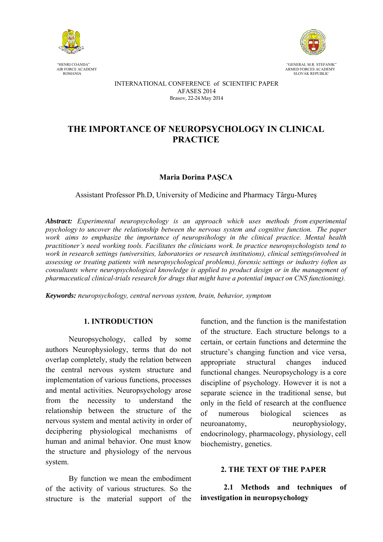



 "HENRI COANDA" "GENERAL M.R. STEFANIK" AIR FORCE ACADEMY ARMED FORCES ACADEMY ROMANIA SLOVAK REPUBLIC

> INTERNATIONAL CONFERENCE of SCIENTIFIC PAPER AFASES 2014 Brasov, 22-24 May 2014

# **THE IMPORTANCE OF NEUROPSYCHOLOGY IN CLINICAL PRACTICE**

# **Maria Dorina PAŞCA**

Assistant Professor Ph.D, University of Medicine and Pharmacy Târgu-Mureş

*Abstract: Experimental neuropsychology is an approach which uses methods from [experimental](http://en.wikipedia.org/wiki/Experimental_psychology)  [psychology](http://en.wikipedia.org/wiki/Experimental_psychology) to uncover the relationship between the nervous system and cognitive function. The paper work aims to emphasize the importance of neuropsihology in the clinical practice. Mental health practitioner's need working tools. Facilitates the clinicians work. In practice neuropsychologists tend to work in research settings (universities, laboratories or research institutions), [clinical settings](http://en.wikipedia.org/wiki/Clinical_neuropsychology)(involved in assessing or treating patients with neuropsychological problems), [forensic](http://en.wikipedia.org/wiki/Forensic) settings or industry (often as consultants where neuropsychological knowledge is applied to product design or in the management of pharmaceutical clinical-trials research for drugs that might have a potential impact on [CNS](http://en.wikipedia.org/wiki/Central_nervous_system) functioning).* 

*Keywords: neuropsychology, central nervous system, brain, behavior, symptom*

#### **1. INTRODUCTION**

Neuropsychology, called by some authors Neurophysiology, terms that do not overlap completely, study the relation between the central nervous system structure and implementation of various functions, processes and mental activities. Neuropsychology arose from the necessity to understand the relationship between the structure of the nervous system and mental activity in order of deciphering physiological mechanisms of human and animal behavior. One must know the structure and physiology of the nervous system.

By function we mean the embodiment of the activity of various structures. So the structure is the material support of the

function, and the function is the manifestation of the structure. Each structure belongs to a certain, or certain functions and determine the structure's changing function and vice versa, appropriate structural changes induced functional changes. Neuropsychology is a core discipline of psychology. However it is not a separate science in the traditional sense, but only in the field of research at the confluence of numerous biological sciences as neuroanatomy, neurophysiology, endocrinology, pharmacology, physiology, cell biochemistry, genetics.

## **2. THE TEXT OF THE PAPER**

**2.1 Methods and techniques of investigation in neuropsychology**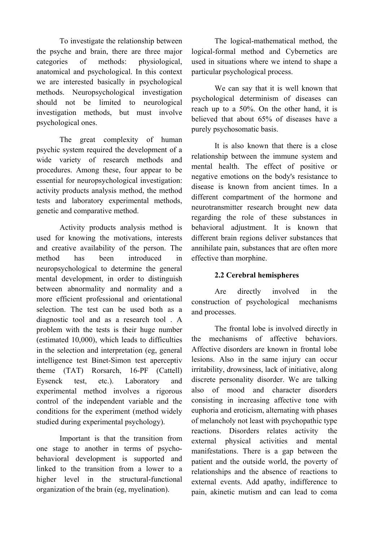To investigate the relationship between the psyche and brain, there are three major categories of methods: physiological, anatomical and psychological. In this context we are interested basically in psychological methods. Neuropsychological investigation should not be limited to neurological investigation methods, but must involve psychological ones.

The great complexity of human psychic system required the development of a wide variety of research methods and procedures. Among these, four appear to be essential for neuropsychological investigation: activity products analysis method, the method tests and laboratory experimental methods, genetic and comparative method.

Activity products analysis method is used for knowing the motivations, interests and creative availability of the person. The method has been introduced in neuropsychological to determine the general mental development, in order to distinguish between abnormality and normality and a more efficient professional and orientational selection. The test can be used both as a diagnostic tool and as a research tool . A problem with the tests is their huge number (estimated 10,000), which leads to difficulties in the selection and interpretation (eg, general intelligence test Binet-Simon test aperceptiv theme (TAT) Rorsarch, 16-PF (Cattell) Eysenck test, etc.). Laboratory and experimental method involves a rigorous control of the independent variable and the conditions for the experiment (method widely studied during experimental psychology).

Important is that the transition from one stage to another in terms of psychobehavioral development is supported and linked to the transition from a lower to a higher level in the structural-functional organization of the brain (eg, myelination).

The logical-mathematical method, the logical-formal method and Cybernetics are used in situations where we intend to shape a particular psychological process.

We can say that it is well known that psychological determinism of diseases can reach up to a 50%. On the other hand, it is believed that about 65% of diseases have a purely psychosomatic basis.

It is also known that there is a close relationship between the immune system and mental health. The effect of positive or negative emotions on the body's resistance to disease is known from ancient times. In a different compartment of the hormone and neurotransmitter research brought new data regarding the role of these substances in behavioral adjustment. It is known that different brain regions deliver substances that annihilate pain, substances that are often more effective than morphine.

# **2.2 Cerebral hemispheres**

Are directly involved in the construction of psychological mechanisms and processes.

The frontal lobe is involved directly in the mechanisms of affective behaviors. Affective disorders are known in frontal lobe lesions. Also in the same injury can occur irritability, drowsiness, lack of initiative, along discrete personality disorder. We are talking also of mood and character disorders consisting in increasing affective tone with euphoria and eroticism, alternating with phases of melancholy not least with psychopathic type reactions. Disorders relates activity the external physical activities and mental manifestations. There is a gap between the patient and the outside world, the poverty of relationships and the absence of reactions to external events. Add apathy, indifference to pain, akinetic mutism and can lead to coma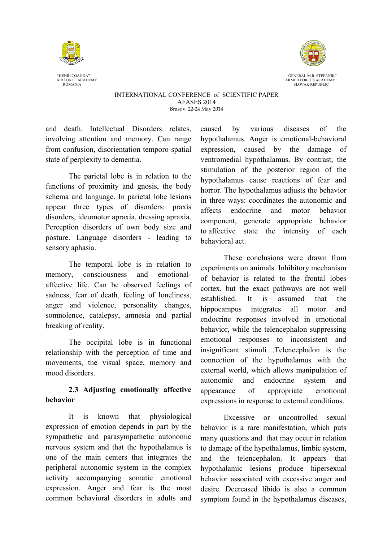



 "HENRI COANDA" "GENERAL M.R. STEFANIK" ARMED FORCES ACADEMY ARMED FORCES ACADEMY ARMED FORCES ACADEMY ARMED FORCES ACADEMY ROMANIA SLOVAK REPUBLIC

#### INTERNATIONAL CONFERENCE of SCIENTIFIC PAPER AFASES 2014 Brasov, 22-24 May 2014

and death. Intellectual Disorders relates, involving attention and memory. Can range from confusion, disorientation temporo-spatial state of perplexity to dementia.

The parietal lobe is in relation to the functions of proximity and gnosis, the body schema and language. In parietal lobe lesions appear three types of disorders: praxis disorders, ideomotor apraxia, dressing apraxia. Perception disorders of own body size and posture. Language disorders - leading to sensory aphasia.

The temporal lobe is in relation to memory, consciousness and emotionalaffective life. Can be observed feelings of sadness, fear of death, feeling of loneliness, anger and violence, personality changes, somnolence, catalepsy, amnesia and partial breaking of reality.

 The occipital lobe is in functional relationship with the perception of time and movements, the visual space, memory and mood disorders.

# **2.3 Adjusting emotionally affective behavior**

It is known that physiological expression of emotion depends in part by the sympathetic and parasympathetic autonomic nervous system and that the hypothalamus is one of the main centers that integrates the peripheral autonomic system in the complex activity accompanying somatic emotional expression. Anger and fear is the most common behavioral disorders in adults and caused by various diseases of the hypothalamus. Anger is emotional-behavioral expression, caused by the damage of ventromedial hypothalamus. By contrast, the stimulation of the posterior region of the hypothalamus cause reactions of fear and horror. The hypothalamus adjusts the behavior in three ways: coordinates the autonomic and affects endocrine and motor behavior component, generate appropriate behavior to affective state the intensity of each behavioral act.

These conclusions were drawn from experiments on animals. Inhibitory mechanism of behavior is related to the frontal lobes cortex, but the exact pathways are not well established. It is assumed that the hippocampus integrates all motor and endocrine responses involved in emotional behavior, while the telencephalon suppressing emotional responses to inconsistent and insignificant stimuli .Telencephalon is the connection of the hypothalamus with the external world, which allows manipulation of autonomic and endocrine system and appearance of appropriate emotional expressions in response to external conditions.

Excessive or uncontrolled sexual behavior is a rare manifestation, which puts many questions and that may occur in relation to damage of the hypothalamus, limbic system, and the telencephalon. It appears that hypothalamic lesions produce hipersexual behavior associated with excessive anger and desire. Decreased libido is also a common symptom found in the hypothalamus diseases,